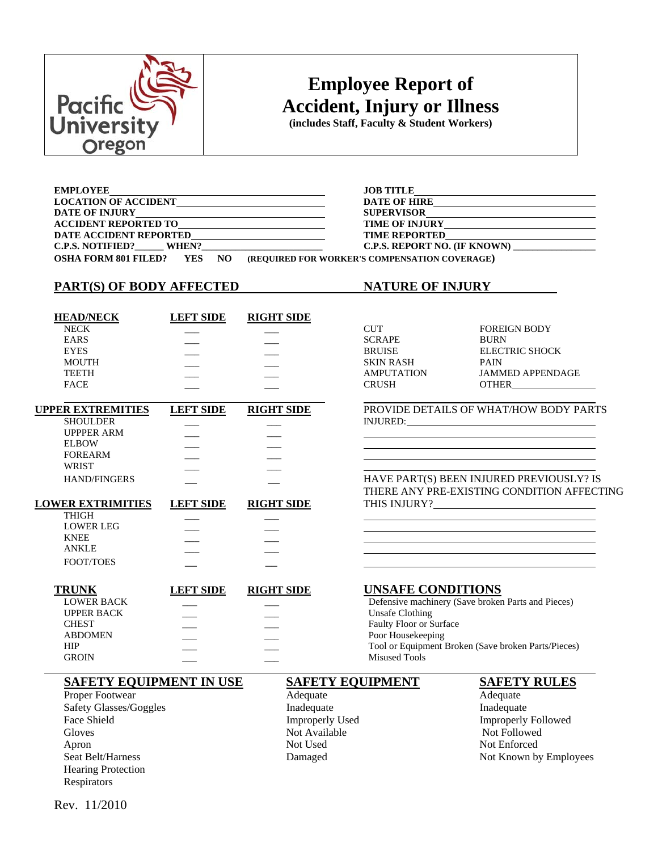

# **Employee Report of Accident, Injury or Illness**

**(includes Staff, Faculty & Student Workers)** 

| <b>EMPLOYEE</b>                                         | <b>JOB TITLE</b><br><u> 1989 - John Stein, september 1989 - John Stein, september 1989 - John Stein, september 1989 - John Stein, sep</u> |
|---------------------------------------------------------|-------------------------------------------------------------------------------------------------------------------------------------------|
| LOCATION OF ACCIDENT                                    | <b>DATE OF HIRE</b>                                                                                                                       |
|                                                         | <b>SUPERVISOR</b>                                                                                                                         |
| ACCIDENT REPORTED TO                                    | TIME OF INJURY                                                                                                                            |
| DATE ACCIDENT REPORTED<br><u>DATE ACCIDENT REPORTED</u> | <b>TIME REPORTED</b><br><u> 1989 - Johann Barnett, fransk kongresu (d. 1989)</u>                                                          |
| C.P.S. NOTIFIED? WHEN?                                  | C.P.S. REPORT NO. (IF KNOWN)                                                                                                              |
| <b>OSHA FORM 801 FILED?</b><br><b>YES</b><br>NO.        | (REQUIRED FOR WORKER'S COMPENSATION COVERAGE)                                                                                             |

# **PART(S) OF BODY AFFECTED NATURE OF INJURY**

| <b>HEAD/NECK</b> | <b>LEFT SIDE</b> | <b>RIGHT SIDE</b> |                   |               |
|------------------|------------------|-------------------|-------------------|---------------|
| <b>NECK</b>      |                  |                   | <b>CUT</b>        | <b>FOREIG</b> |
| EARS             |                  |                   | <b>SCRAPE</b>     | <b>BURN</b>   |
| <b>EYES</b>      |                  |                   | <b>BRUISE</b>     | <b>ELECTR</b> |
| <b>MOUTH</b>     |                  |                   | <b>SKIN RASH</b>  | <b>PAIN</b>   |
| <b>TEETH</b>     |                  |                   | <b>AMPUTATION</b> | <b>JAMME</b>  |
| <b>FACE</b>      |                  |                   | <b>CRUSH</b>      | <b>OTHER</b>  |
|                  |                  |                   |                   |               |

| <b>UPPER EXTREMITIES</b> | <b>LEFT SIDE</b> | <b>RIGHT SIDE</b> |
|--------------------------|------------------|-------------------|
| <b>SHOULDER</b>          |                  |                   |
| <b>UPPPER ARM</b>        |                  |                   |
| <b>ELBOW</b>             |                  |                   |
| <b>FOREARM</b>           |                  |                   |
| WRIST                    |                  |                   |
| <b>HAND/FINGERS</b>      |                  |                   |
| <b>LOWER EXTRIMITIES</b> | <b>LEFT SIDE</b> | <b>RIGHT SIDE</b> |
| <b>THIGH</b>             |                  |                   |
| <b>LOWER LEG</b>         |                  |                   |
| KNEE                     |                  |                   |

| CUT               |
|-------------------|
| SCRAPE            |
| <b>BRUISE</b>     |
| SKIN RASH         |
| <b>AMPUTATION</b> |
| CDITCIT           |

FOREIGN BODY ELECTRIC SHOCK JAMMED APPENDAGE

**PROVIDE DETAILS OF WHAT/HOW BODY PARTS** INJURED:

HAVE PART(S) BEEN INJURED PREVIOUSLY? IS THERE ANY PRE-EXISTING CONDITION AFFECTING THIS INJURY?\_\_\_\_

### **TRUNK LEFT SIDE RIGHT SIDE UNSAFE CONDITIONS**<br>LOWER BACK Defensive machinery (Save broker Defensive machinery (Save broken Parts and Pieces) UPPER BACK \_\_\_\_ \_\_\_ \_\_\_\_ \_\_\_\_ Unsafe Clothing CHEST Faulty Floor or Surface ABDOMEN Poor Housekeeping HIP **HIP** Tool or Equipment Broken (Save broken Parts/Pieces) GROIN Misused Tools

### **SAFETY EQUIPMENT IN USE SAFETY EQUIPMENT SAFETY RULES**

Proper Footwear **Adequate** Adequate Adequate Adequate Safety Glasses/Goggles **Inadequate** Inadequate Inadequate Face Shield **Improperly Used** Improperly Used **Improperly Followed** Gloves Not Available Not Available Not Followed Apron Not Used Not Used Not Enforced Hearing Protection Respirators

Seat Belt/Harness **Seat Belt/Harness** Damaged Not Known by Employees

Rev. 11/2010

ANKLE \_\_\_ \_\_\_ FOOT/TOES

 $\overline{a}$